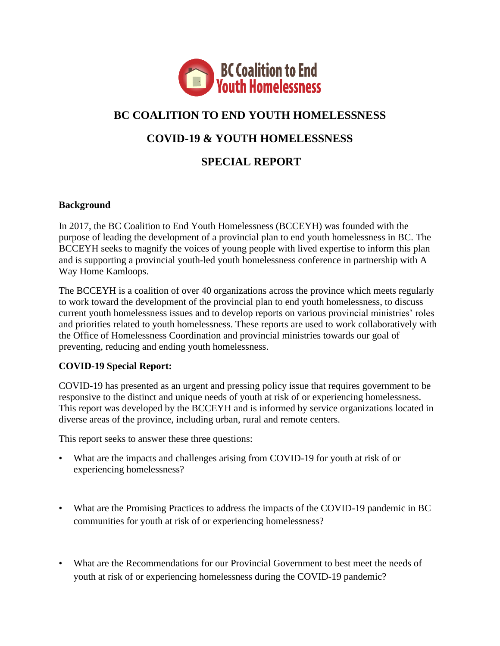

# **BC COALITION TO END YOUTH HOMELESSNESS**

## **COVID-19 & YOUTH HOMELESSNESS**

## **SPECIAL REPORT**

#### **Background**

In 2017, the BC Coalition to End Youth Homelessness (BCCEYH) was founded with the purpose of leading the development of a provincial plan to end youth homelessness in BC. The BCCEYH seeks to magnify the voices of young people with lived expertise to inform this plan and is supporting a provincial youth-led youth homelessness conference in partnership with A Way Home Kamloops.

The BCCEYH is a coalition of over 40 organizations across the province which meets regularly to work toward the development of the provincial plan to end youth homelessness, to discuss current youth homelessness issues and to develop reports on various provincial ministries' roles and priorities related to youth homelessness. These reports are used to work collaboratively with the Office of Homelessness Coordination and provincial ministries towards our goal of preventing, reducing and ending youth homelessness.

#### **COVID-19 Special Report:**

COVID-19 has presented as an urgent and pressing policy issue that requires government to be responsive to the distinct and unique needs of youth at risk of or experiencing homelessness. This report was developed by the BCCEYH and is informed by service organizations located in diverse areas of the province, including urban, rural and remote centers.

This report seeks to answer these three questions:

- What are the impacts and challenges arising from COVID-19 for youth at risk of or experiencing homelessness?
- What are the Promising Practices to address the impacts of the COVID-19 pandemic in BC communities for youth at risk of or experiencing homelessness?
- What are the Recommendations for our Provincial Government to best meet the needs of youth at risk of or experiencing homelessness during the COVID-19 pandemic?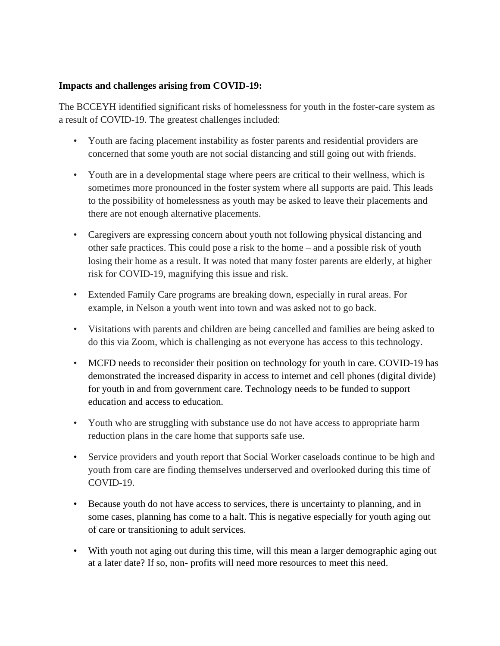#### **Impacts and challenges arising from COVID-19:**

The BCCEYH identified significant risks of homelessness for youth in the foster-care system as a result of COVID-19. The greatest challenges included:

- Youth are facing placement instability as foster parents and residential providers are concerned that some youth are not social distancing and still going out with friends.
- Youth are in a developmental stage where peers are critical to their wellness, which is sometimes more pronounced in the foster system where all supports are paid. This leads to the possibility of homelessness as youth may be asked to leave their placements and there are not enough alternative placements.
- Caregivers are expressing concern about youth not following physical distancing and other safe practices. This could pose a risk to the home – and a possible risk of youth losing their home as a result. It was noted that many foster parents are elderly, at higher risk for COVID-19, magnifying this issue and risk.
- Extended Family Care programs are breaking down, especially in rural areas. For example, in Nelson a youth went into town and was asked not to go back.
- Visitations with parents and children are being cancelled and families are being asked to do this via Zoom, which is challenging as not everyone has access to this technology.
- MCFD needs to reconsider their position on technology for youth in care. COVID-19 has demonstrated the increased disparity in access to internet and cell phones (digital divide) for youth in and from government care. Technology needs to be funded to support education and access to education.
- Youth who are struggling with substance use do not have access to appropriate harm reduction plans in the care home that supports safe use.
- Service providers and youth report that Social Worker caseloads continue to be high and youth from care are finding themselves underserved and overlooked during this time of COVID-19.
- Because youth do not have access to services, there is uncertainty to planning, and in some cases, planning has come to a halt. This is negative especially for youth aging out of care or transitioning to adult services.
- With youth not aging out during this time, will this mean a larger demographic aging out at a later date? If so, non- profits will need more resources to meet this need.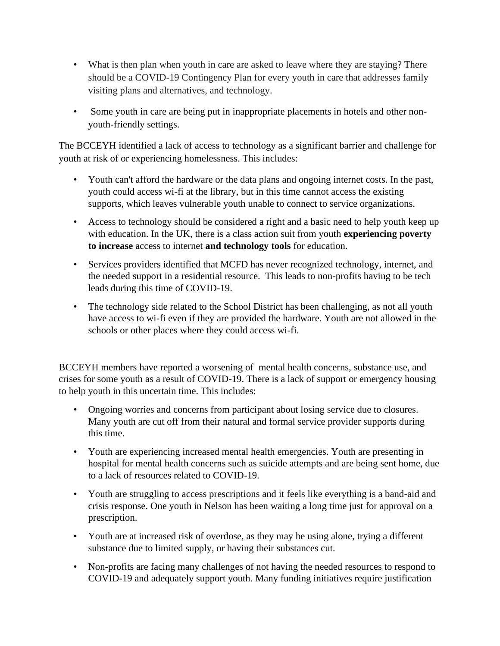- What is then plan when youth in care are asked to leave where they are staying? There should be a COVID-19 Contingency Plan for every youth in care that addresses family visiting plans and alternatives, and technology.
- Some youth in care are being put in inappropriate placements in hotels and other nonyouth-friendly settings.

The BCCEYH identified a lack of access to technology as a significant barrier and challenge for youth at risk of or experiencing homelessness. This includes:

- Youth can't afford the hardware or the data plans and ongoing internet costs. In the past, youth could access wi-fi at the library, but in this time cannot access the existing supports, which leaves vulnerable youth unable to connect to service organizations.
- Access to technology should be considered a right and a basic need to help youth keep up with education. In the UK, there is a class action suit from youth **experiencing poverty to increase** access to internet **and technology tools** for education.
- Services providers identified that MCFD has never recognized technology, internet, and the needed support in a residential resource. This leads to non-profits having to be tech leads during this time of COVID-19.
- The technology side related to the School District has been challenging, as not all youth have access to wi-fi even if they are provided the hardware. Youth are not allowed in the schools or other places where they could access wi-fi.

BCCEYH members have reported a worsening of mental health concerns, substance use, and crises for some youth as a result of COVID-19. There is a lack of support or emergency housing to help youth in this uncertain time. This includes:

- Ongoing worries and concerns from participant about losing service due to closures. Many youth are cut off from their natural and formal service provider supports during this time.
- Youth are experiencing increased mental health emergencies. Youth are presenting in hospital for mental health concerns such as suicide attempts and are being sent home, due to a lack of resources related to COVID-19.
- Youth are struggling to access prescriptions and it feels like everything is a band-aid and crisis response. One youth in Nelson has been waiting a long time just for approval on a prescription.
- Youth are at increased risk of overdose, as they may be using alone, trying a different substance due to limited supply, or having their substances cut.
- Non-profits are facing many challenges of not having the needed resources to respond to COVID-19 and adequately support youth. Many funding initiatives require justification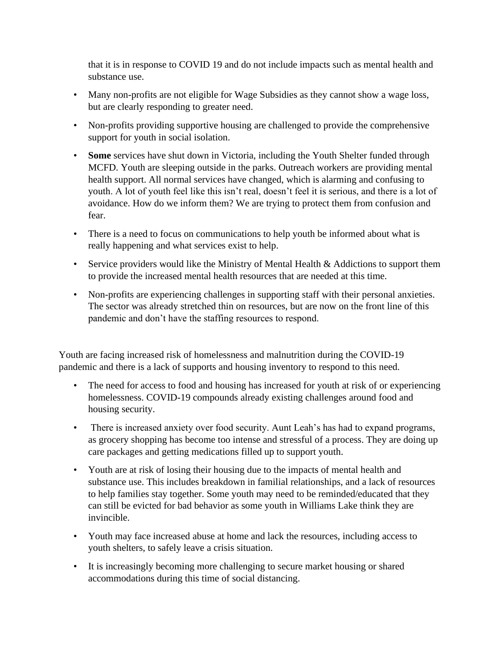that it is in response to COVID 19 and do not include impacts such as mental health and substance use.

- Many non-profits are not eligible for Wage Subsidies as they cannot show a wage loss, but are clearly responding to greater need.
- Non-profits providing supportive housing are challenged to provide the comprehensive support for youth in social isolation.
- **Some** services have shut down in Victoria, including the Youth Shelter funded through MCFD. Youth are sleeping outside in the parks. Outreach workers are providing mental health support. All normal services have changed, which is alarming and confusing to youth. A lot of youth feel like this isn't real, doesn't feel it is serious, and there is a lot of avoidance. How do we inform them? We are trying to protect them from confusion and fear.
- There is a need to focus on communications to help youth be informed about what is really happening and what services exist to help.
- Service providers would like the Ministry of Mental Health & Addictions to support them to provide the increased mental health resources that are needed at this time.
- Non-profits are experiencing challenges in supporting staff with their personal anxieties. The sector was already stretched thin on resources, but are now on the front line of this pandemic and don't have the staffing resources to respond.

Youth are facing increased risk of homelessness and malnutrition during the COVID-19 pandemic and there is a lack of supports and housing inventory to respond to this need.

- The need for access to food and housing has increased for youth at risk of or experiencing homelessness. COVID-19 compounds already existing challenges around food and housing security.
- There is increased anxiety over food security. Aunt Leah's has had to expand programs, as grocery shopping has become too intense and stressful of a process. They are doing up care packages and getting medications filled up to support youth.
- Youth are at risk of losing their housing due to the impacts of mental health and substance use. This includes breakdown in familial relationships, and a lack of resources to help families stay together. Some youth may need to be reminded/educated that they can still be evicted for bad behavior as some youth in Williams Lake think they are invincible.
- Youth may face increased abuse at home and lack the resources, including access to youth shelters, to safely leave a crisis situation.
- It is increasingly becoming more challenging to secure market housing or shared accommodations during this time of social distancing.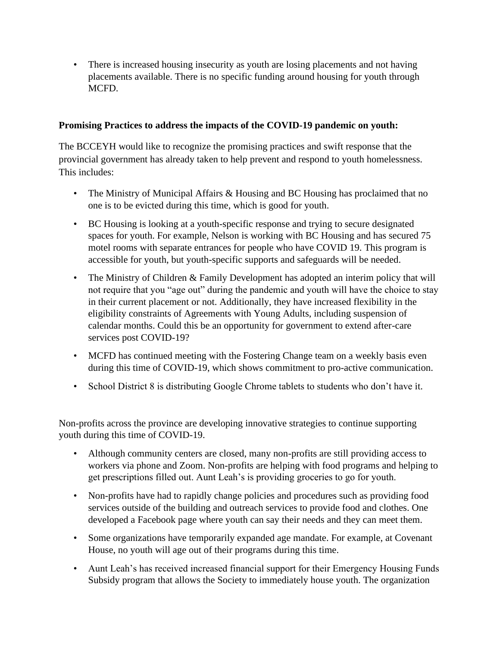• There is increased housing insecurity as youth are losing placements and not having placements available. There is no specific funding around housing for youth through MCFD.

#### **Promising Practices to address the impacts of the COVID-19 pandemic on youth:**

The BCCEYH would like to recognize the promising practices and swift response that the provincial government has already taken to help prevent and respond to youth homelessness. This includes:

- The Ministry of Municipal Affairs & Housing and BC Housing has proclaimed that no one is to be evicted during this time, which is good for youth.
- BC Housing is looking at a youth-specific response and trying to secure designated spaces for youth. For example, Nelson is working with BC Housing and has secured 75 motel rooms with separate entrances for people who have COVID 19. This program is accessible for youth, but youth-specific supports and safeguards will be needed.
- The Ministry of Children & Family Development has adopted an interim policy that will not require that you "age out" during the pandemic and youth will have the choice to stay in their current placement or not. Additionally, they have increased flexibility in the eligibility constraints of Agreements with Young Adults, including suspension of calendar months. Could this be an opportunity for government to extend after-care services post COVID-19?
- MCFD has continued meeting with the Fostering Change team on a weekly basis even during this time of COVID-19, which shows commitment to pro-active communication.
- School District 8 is distributing Google Chrome tablets to students who don't have it.

Non-profits across the province are developing innovative strategies to continue supporting youth during this time of COVID-19.

- Although community centers are closed, many non-profits are still providing access to workers via phone and Zoom. Non-profits are helping with food programs and helping to get prescriptions filled out. Aunt Leah's is providing groceries to go for youth.
- Non-profits have had to rapidly change policies and procedures such as providing food services outside of the building and outreach services to provide food and clothes. One developed a Facebook page where youth can say their needs and they can meet them.
- Some organizations have temporarily expanded age mandate. For example, at Covenant House, no youth will age out of their programs during this time.
- Aunt Leah's has received increased financial support for their Emergency Housing Funds Subsidy program that allows the Society to immediately house youth. The organization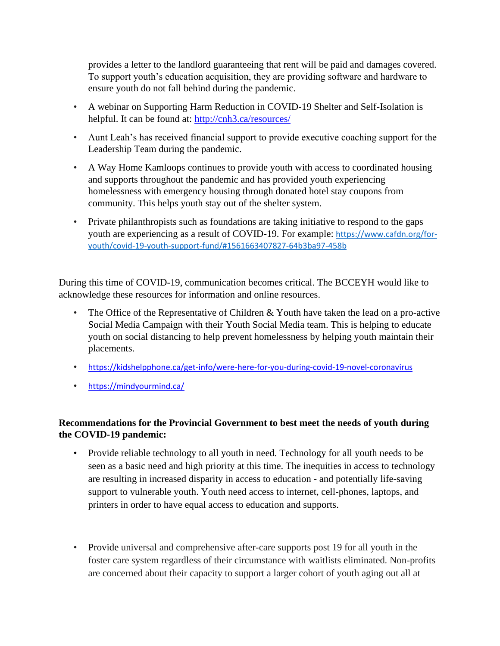provides a letter to the landlord guaranteeing that rent will be paid and damages covered. To support youth's education acquisition, they are providing software and hardware to ensure youth do not fall behind during the pandemic.

- A webinar on Supporting Harm Reduction in COVID-19 Shelter and Self-Isolation is helpful. It can be found at:<http://cnh3.ca/resources/>
- Aunt Leah's has received financial support to provide executive coaching support for the Leadership Team during the pandemic.
- A Way Home Kamloops continues to provide youth with access to coordinated housing and supports throughout the pandemic and has provided youth experiencing homelessness with emergency housing through donated hotel stay coupons from community. This helps youth stay out of the shelter system.
- Private philanthropists such as foundations are taking initiative to respond to the gaps youth are experiencing as a result of COVID-19. For example: [https://www.cafdn.org/for](https://www.cafdn.org/for-youth/covid-19-youth-support-fund/)[youth/covid-19-youth-support-fund/#1561663407827-64b3ba97-458b](https://www.cafdn.org/for-youth/covid-19-youth-support-fund/)

During this time of COVID-19, communication becomes critical. The BCCEYH would like to acknowledge these resources for information and online resources.

- The Office of the Representative of Children & Youth have taken the lead on a pro-active Social Media Campaign with their Youth Social Media team. This is helping to educate youth on social distancing to help prevent homelessness by helping youth maintain their placements.
- <https://kidshelpphone.ca/get-info/were-here-for-you-during-covid-19-novel-coronavirus>
- <https://mindyourmind.ca/>

### **Recommendations for the Provincial Government to best meet the needs of youth during the COVID-19 pandemic:**

- Provide reliable technology to all youth in need. Technology for all youth needs to be seen as a basic need and high priority at this time. The inequities in access to technology are resulting in increased disparity in access to education - and potentially life-saving support to vulnerable youth. Youth need access to internet, cell-phones, laptops, and printers in order to have equal access to education and supports.
- Provide universal and comprehensive after-care supports post 19 for all youth in the foster care system regardless of their circumstance with waitlists eliminated. Non-profits are concerned about their capacity to support a larger cohort of youth aging out all at